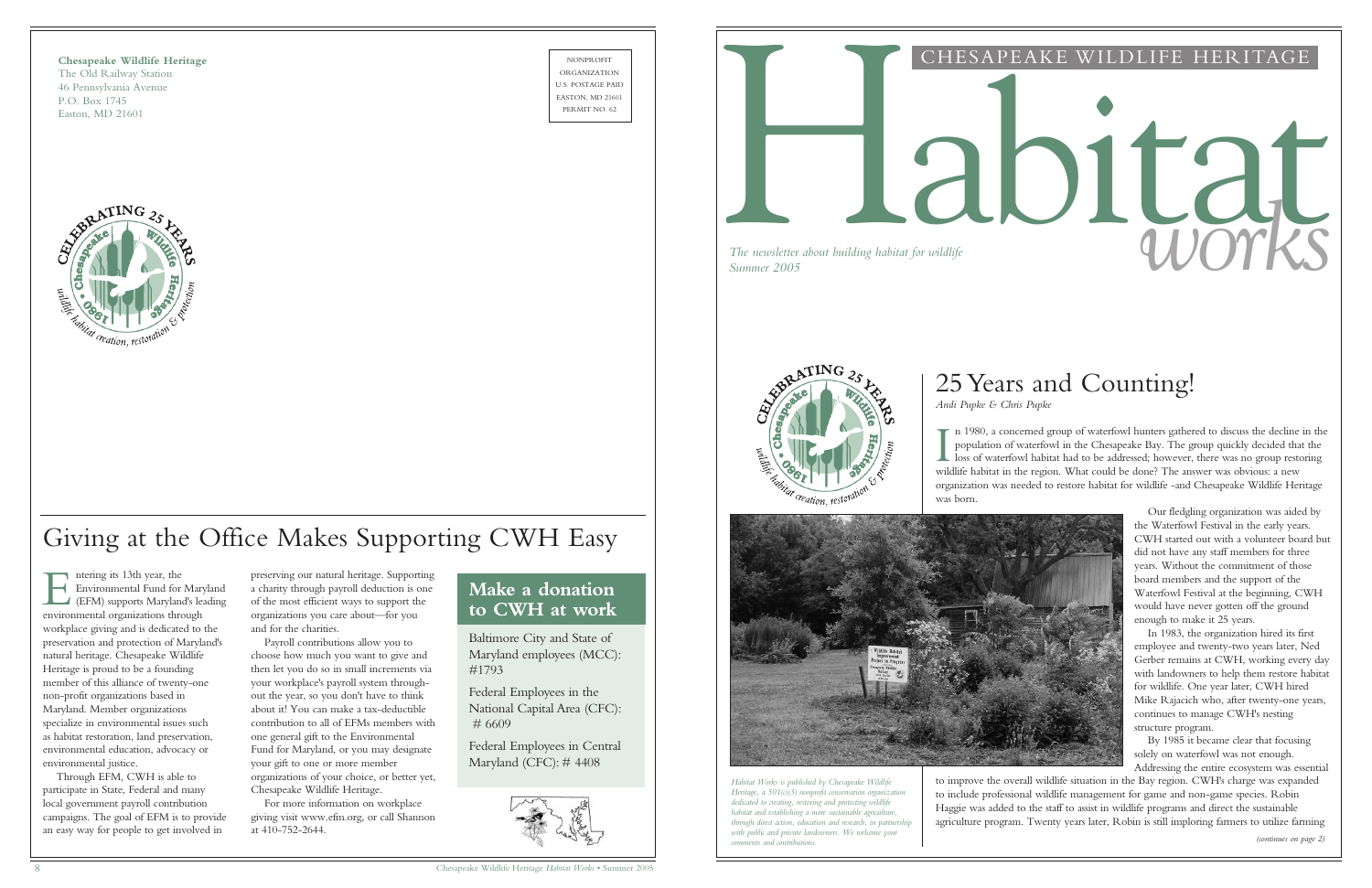**Chesapeake Wildlife Heritage** The Old Railway Station 46 Pennsylvania Avenue P.O. Box 1745 Easton, MD 21601



NONPROFIT ORGANIZATION U.S. POSTAGE PAID EASTON, MD 21601



#### CHESAPEAKE WILDLIFE HERITAGE

# *The newsletter about building habitat for wildlife*<br>Summer 2005

*The newsletter about building habitat for wildlife*



*(continues on page 2)*

I n 1980, a concerned group of waterfowl hunters gathered to discuss the decline in the population of waterfowl in the Chesapeake Bay. The group quickly decided that the loss of waterfowl habitat had to be addressed; howev population of waterfowl in the Chesapeake Bay. The group quickly decided that the  $\blacksquare$  loss of waterfowl habitat had to be addressed; however, there was no group restoring wildlife habitat in the region. What could be done? The answer was obvious: a new organization was needed to restore habitat for wildlife -and Chesapeake Wildlife Heritage

was born.



Our fledgling organization was aided by the Waterfowl Festival in the early years. CWH started out with a volunteer board but did not have any staff members for three years. Without the commitment of those board members and the support of the Waterfowl Festival at the beginning, CWH would have never gotten off the ground enough to make it 25 years.

ntering its 13th year, the<br>Environmental Fund for<br>(EFM) supports Marylan<br>environmental organizations three Environmental Fund for Maryland (EFM) supports Maryland's leading environmental organizations through workplace giving and is dedicated to the preservation and protection of Maryland's natural heritage. Chesapeake Wildlife Heritage is proud to be a founding member of this alliance of twenty-one non-profit organizations based in Maryland. Member organizations specialize in environmental issues such as habitat restoration, land preservation, environmental education, advocacy or environmental justice.

In 1983, the organization hired its first employee and twenty-two years later, Ned Gerber remains at CWH, working every day with landowners to help them restore habitat for wildlife. One year later, CWH hired Mike Rajacich who, after twenty-one years, continues to manage CWH's nesting structure program.

By 1985 it became clear that focusing solely on waterfowl was not enough. Addressing the entire ecosystem was essential

to improve the overall wildlife situation in the Bay region. CWH's charge was expanded to include professional wildlife management for game and non-game species. Robin Haggie was added to the staff to assist in wildlife programs and direct the sustainable agriculture program. Twenty years later, Robin is still imploring farmers to utilize farming

# 25 Years and Counting!

# *Andi Pupke & Chris Pupke*

Through EFM, CWH is able to participate in State, Federal and many local government payroll contribution campaigns. The goal of EFM is to provide an easy way for people to get involved in

# Giving at the Office Makes Supporting CWH Easy

preserving our natural heritage. Supporting a charity through payroll deduction is one of the most efficient ways to support the organizations you care about—for you and for the charities.

Payroll contributions allow you to choose how much you want to give and then let you do so in small increments via your workplace's payroll system throughout the year, so you don't have to think about it! You can make a tax-deductible contribution to all of EFMs members with one general gift to the Environmental Fund for Maryland, or you may designate your gift to one or more member organizations of your choice, or better yet, Chesapeake Wildlife Heritage.

For more information on workplace giving visit www.efm.org, or call Shannon at 410-752-2644.

*Habitat Works is published by Chesapeake Wildlife Heritage, a 501(c)(3) nonprofit conservation organization dedicated to creating, restoring and protecting wildlife habitat and establishing a more sustainable agriculture, through direct action, education and research, in partnership with public and private landowners. We welcome your comments and contributions.*

## **Make a donation to CWH at work**

Baltimore City and State of Maryland employees (MCC): #1793

Federal Employees in the National Capital Area (CFC): # 6609

Federal Employees in Central Maryland (CFC): # 4408

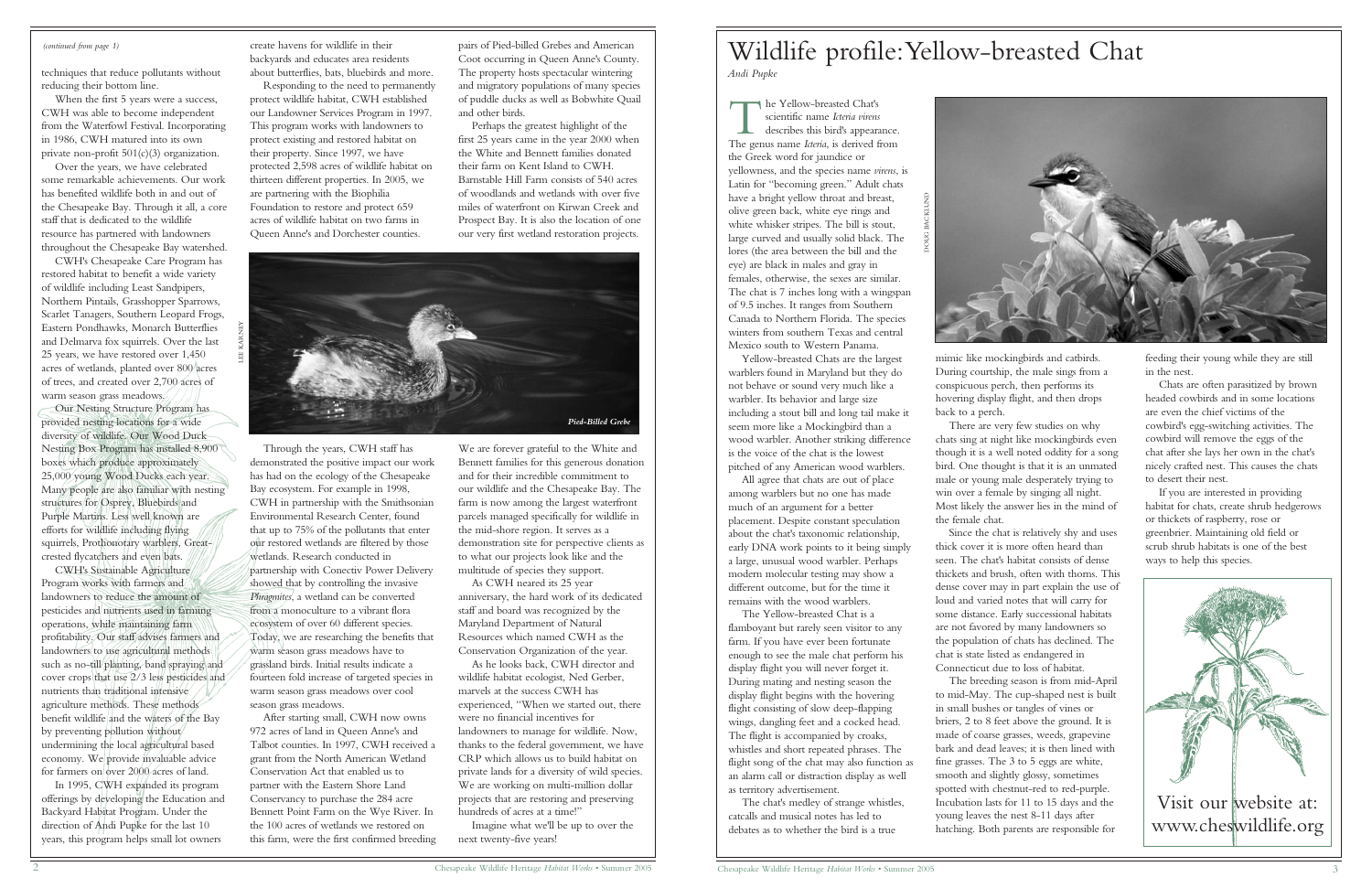feeding their young while they are still in the nest.

Chats are often parasitized by brown headed cowbirds and in some locations are even the chief victims of the cowbird's egg-switching activities. The cowbird will remove the eggs of the chat after she lays her own in the chat's nicely crafted nest. This causes the chats to desert their nest.

If you are interested in providing habitat for chats, create shrub hedgerows or thickets of raspberry, rose or greenbrier. Maintaining old field or scrub shrub habitats is one of the best ways to help this species.

When the first 5 years were a success, CWH was able to become independent from the Waterfowl Festival. Incorporating in 1986, CWH matured into its own private non-profit 501(c)(3) organization.

#### *(continued from page 1)*

techniques that reduce pollutants without reducing their bottom line.

CWH's Sustainable Agriculture Program works with farmers and landowners to reduce the amount of pesticides and nutrients used in farming operations, while maintaining farm profitability. Our staff advises farmers and landowners to use agricultural methods such as no-till planting, band spraying and cover crops that use 2/3 less pesticides and nutrients than traditional intensive agriculture methods. These methods benefit wildlife and the waters of the Bay by preventing pollution without undermining the local agricultural based economy. We provide invaluable advice for farmers on over 2000 acres of land.

Over the years, we have celebrated some remarkable achievements. Our work has benefited wildlife both in and out of the Chesapeake Bay. Through it all, a core staff that is dedicated to the wildlife resource has partnered with landowners throughout the Chesapeake Bay watershed.

CWH's Chesapeake Care Program has restored habitat to benefit a wide variety of wildlife including Least Sandpipers, Northern Pintails, Grasshopper Sparrows, Scarlet Tanagers, Southern Leopard Frogs, Eastern Pondhawks, Monarch Butterflies and Delmarva fox squirrels. Over the last 25 years, we have restored over 1,450 acres of wetlands, planted over 800 acres of trees, and created over 2,700 acres of warm season grass meadows.

In 1995, CWH expanded its program offerings by developing the Education and Backyard Habitat Program. Under the direction of Andi Pupke for the last 10 years, this program helps small lot owners

Our Nesting Structure Program has provided nesting locations for a wide diversity of wildlife. Our Wood Duck Nesting Box Program has installed 8,900 boxes which produce approximately 25,000 young Wood Ducks each year. Many people are also familiar with nesting structures for Osprey, Bluebirds and Purple Martins. Less well known are efforts for wildlife including flying squirrels, Prothonotary warblers, Greatcrested flycatchers and even bats.

> As he looks back, CWH director and wildlife habitat ecologist, Ned Gerber, marvels at the success CWH has experienced, "When we started out, there were no financial incentives for landowners to manage for wildlife. Now, thanks to the federal government, we have CRP which allows us to build habitat on private lands for a diversity of wild species. We are working on multi-million dollar projects that are restoring and preserving hundreds of acres at a time!'

create havens for wildlife in their backyards and educates area residents about butterflies, bats, bluebirds and more.

Responding to the need to permanently protect wildlife habitat, CWH established our Landowner Services Program in 1997. This program works with landowners to protect existing and restored habitat on their property. Since 1997, we have protected 2,598 acres of wildlife habitat on thirteen different properties. In 2005, we are partnering with the Biophilia Foundation to restore and protect 659 acres of wildlife habitat on two farms in Queen Anne's and Dorchester counties.

he Yellow-breasted Chat's<br>
scientific name *Icteria virens*<br>
describes this bird's appear.<br>
The genus name *Icteria* is derived t scientific name *Icteria virens* describes this bird's appearance. The genus name *Icteria*, is derived from the Greek word for jaundice or yellowness, and the species name *virens*, is Latin for "becoming green." Adult chats have a bright yellow throat and breast, olive green back, white eye rings and white whisker stripes. The bill is stout, large curved and usually solid black. The lores (the area between the bill and the eye) are black in males and gray in females, otherwise, the sexes are similar. The chat is 7 inches long with a wingspan of 9.5 inches. It ranges from Southern Canada to Northern Florida. The species winters from southern Texas and central Mexico south to Western Panama.

Through the years, CWH staff has demonstrated the positive impact our work has had on the ecology of the Chesapeake Bay ecosystem. For example in 1998, CWH in partnership with the Smithsonian Environmental Research Center, found that up to 75% of the pollutants that enter our restored wetlands are filtered by those wetlands. Research conducted in partnership with Conectiv Power Delivery showed that by controlling the invasive *Phragmites*, a wetland can be converted from a monoculture to a vibrant flora ecosystem of over 60 different species. Today, we are researching the benefits that warm season grass meadows have to grassland birds. Initial results indicate a fourteen fold increase of targeted species in warm season grass meadows over cool season grass meadows.

After starting small, CWH now owns 972 acres of land in Queen Anne's and Talbot counties. In 1997, CWH received a grant from the North American Wetland Conservation Act that enabled us to partner with the Eastern Shore Land Conservancy to purchase the 284 acre Bennett Point Farm on the Wye River. In the 100 acres of wetlands we restored on this farm, were the first confirmed breeding



pairs of Pied-billed Grebes and American Coot occurring in Queen Anne's County. The property hosts spectacular wintering and migratory populations of many species of puddle ducks as well as Bobwhite Quail and other birds.

Perhaps the greatest highlight of the first 25 years came in the year 2000 when the White and Bennett families donated their farm on Kent Island to CWH. Barnstable Hill Farm consists of 540 acres of woodlands and wetlands with over five miles of waterfront on Kirwan Creek and Prospect Bay. It is also the location of one our very first wetland restoration projects.

We are forever grateful to the White and Bennett families for this generous donation and for their incredible commitment to our wildlife and the Chesapeake Bay. The farm is now among the largest waterfront parcels managed specifically for wildlife in the mid-shore region. It serves as a demonstration site for perspective clients as to what our projects look like and the multitude of species they support.

As CWH neared its 25 year anniversary, the hard work of its dedicated staff and board was recognized by the Maryland Department of Natural Resources which named CWH as the Conservation Organization of the year.

Imagine what we'll be up to over the next twenty-five years!

## Wildlife profile:Yellow-breasted Chat *Andi Pupke*



Yellow-breasted Chats are the largest warblers found in Maryland but they do not behave or sound very much like a warbler. Its behavior and large size including a stout bill and long tail make it seem more like a Mockingbird than a wood warbler. Another striking difference is the voice of the chat is the lowest pitched of any American wood warblers.

All agree that chats are out of place among warblers but no one has made much of an argument for a better placement. Despite constant speculation about the chat's taxonomic relationship, early DNA work points to it being simply a large, unusual wood warbler. Perhaps modern molecular testing may show a different outcome, but for the time it remains with the wood warblers.

The Yellow-breasted Chat is a flamboyant but rarely seen visitor to any farm. If you have ever been fortunate enough to see the male chat perform his display flight you will never forget it. During mating and nesting season the display flight begins with the hovering flight consisting of slow deep-flapping wings, dangling feet and a cocked head. The flight is accompanied by croaks, whistles and short repeated phrases. The flight song of the chat may also function as an alarm call or distraction display as well as territory advertisement.

The chat's medley of strange whistles, catcalls and musical notes has led to debates as to whether the bird is a true

mimic like mockingbirds and catbirds. During courtship, the male sings from a conspicuous perch, then performs its hovering display flight, and then drops back to a perch.

There are very few studies on why chats sing at night like mockingbirds even though it is a well noted oddity for a song bird. One thought is that it is an unmated male or young male desperately trying to win over a female by singing all night. Most likely the answer lies in the mind of

the female chat.

Since the chat is relatively shy and uses thick cover it is more often heard than seen. The chat's habitat consists of dense thickets and brush, often with thorns. This dense cover may in part explain the use of loud and varied notes that will carry for some distance. Early successional habitats are not favored by many landowners so the population of chats has declined. The chat is state listed as endangered in Connecticut due to loss of habitat. The breeding season is from mid-April to mid-May. The cup-shaped nest is built in small bushes or tangles of vines or briers, 2 to 8 feet above the ground. It is made of coarse grasses, weeds, grapevine bark and dead leaves; it is then lined with fine grasses. The 3 to 5 eggs are white, smooth and slightly glossy, sometimes spotted with chestnut-red to red-purple. Incubation lasts for 11 to 15 days and the young leaves the nest 8-11 days after

hatching. Both parents are responsible for

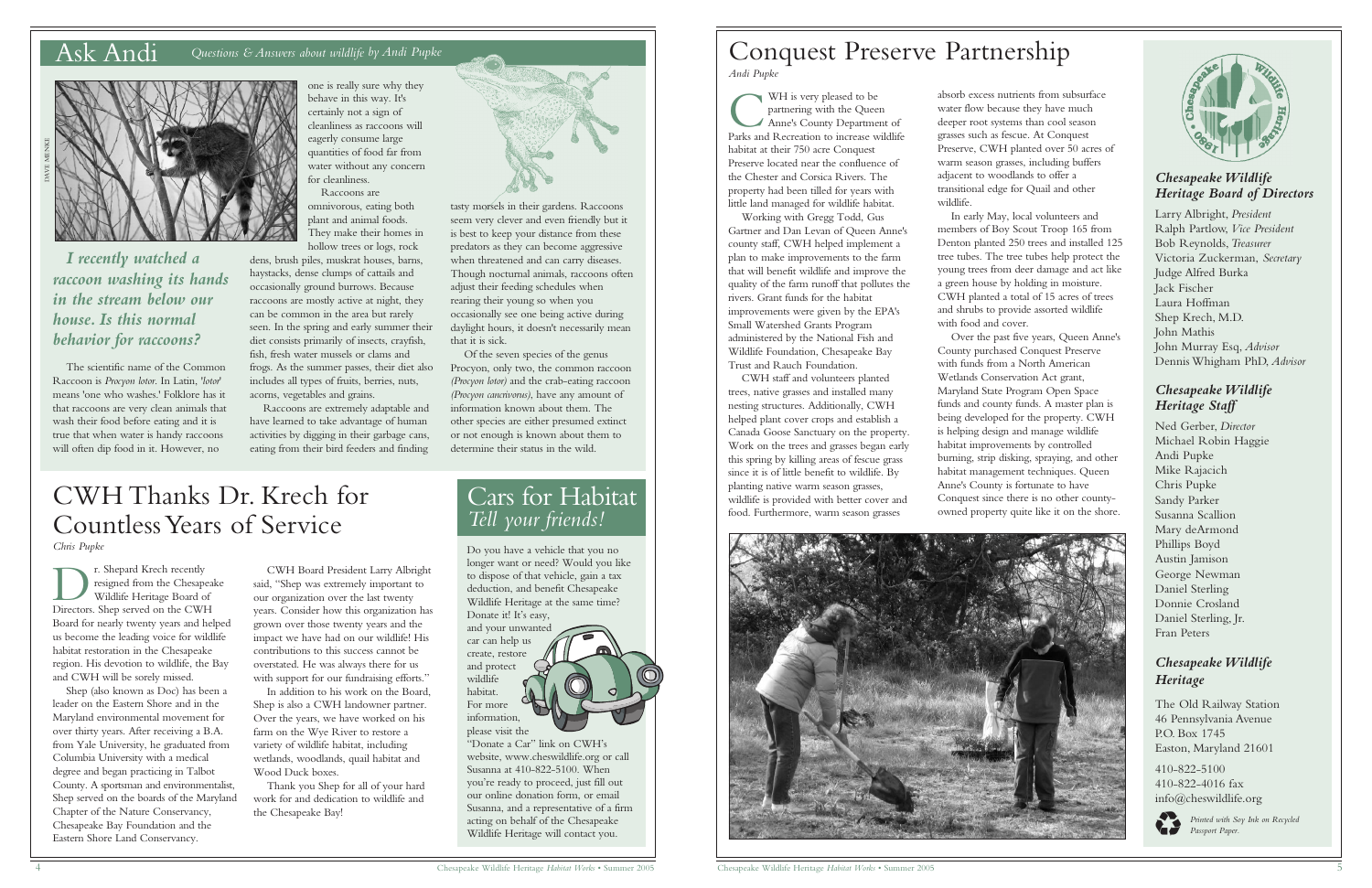#### *Chesapeake Wildlife Heritage Board of Directors*

Larry Albright, *President* Ralph Partlow, *Vice President* Bob Reynolds,*Treasurer* Victoria Zuckerman, *Secretary* Judge Alfred Burka Jack Fischer Laura Hoffman Shep Krech, M.D. John Mathis John Murray Esq, *Advisor* Dennis Whigham PhD, *Advisor*

#### *Chesapeake Wildlife Heritage Staff*

Ned Gerber, *Director* Michael Robin Haggie Andi Pupke Mike Rajacich Chris Pupke Sandy Parker Susanna Scallion Mary deArmond Phillips Boyd Austin Jamison George Newman Daniel Sterling Donnie Crosland Daniel Sterling, Jr. Fran Peters

#### *Chesapeake Wildlife Heritage*

The Old Railway Station 46 Pennsylvania Avenue P.O. Box 1745 Easton, Maryland 21601

410-822-5100 410-822-4016 fax info@cheswildlife.org



*Printed with Soy Ink on Recycled Passport Paper.* 

### Ask Andi *Questions & Answers about wildlife by Andi Pupke*

one is really sure why they behave in this way. It's certainly not a sign of cleanliness as raccoons will eagerly consume large quantities of food far from water without any concern for cleanliness.

Raccoons are omnivorous, eating both plant and animal foods. They make their homes in hollow trees or logs, rock

dens, brush piles, muskrat houses, barns, haystacks, dense clumps of cattails and occasionally ground burrows. Because raccoons are mostly active at night, they can be common in the area but rarely seen. In the spring and early summer their diet consists primarily of insects, crayfish, fish, fresh water mussels or clams and frogs. As the summer passes, their diet also includes all types of fruits, berries, nuts, acorns, vegetables and grains.

Raccoons are extremely adaptable and have learned to take advantage of human activities by digging in their garbage cans, eating from their bird feeders and finding

*I recently watched a raccoon washing its hands in the stream below our house. Is this normal behavior for raccoons?*

The scientific name of the Common Raccoon is *Procyon lotor*. In Latin, '*lotor*' means 'one who washes.' Folklore has it that raccoons are very clean animals that wash their food before eating and it is true that when water is handy raccoons will often dip food in it. However, no

WH is very pleased to be<br>partnering with the Queen<br>Anne's County Department of<br>Parks and Recreation to increase wildlife WH is very pleased to be partnering with the Queen Anne's County Department of habitat at their 750 acre Conquest Preserve located near the confluence of the Chester and Corsica Rivers. The property had been tilled for years with little land managed for wildlife habitat.

tasty morsels in their gardens. Raccoons seem very clever and even friendly but it is best to keep your distance from these predators as they can become aggressive when threatened and can carry diseases. Though nocturnal animals, raccoons often adjust their feeding schedules when rearing their young so when you occasionally see one being active during daylight hours, it doesn't necessarily mean that it is sick.

Of the seven species of the genus Procyon, only two, the common raccoon *(Procyon lotor)* and the crab-eating raccoon *(Procyon cancrivorus)*, have any amount of information known about them. The other species are either presumed extinct or not enough is known about them to determine their status in the wild.

**DEREVIER SHEPARE SERVER SHEP SERVERT SHEP SERVERT SHEP SERVERT SHEP SERVERT SHEP SERVERT SHEP SERVERT SHEP SERVERT SHEP SERVERT SHEP SERVERT SHEP SERVERT SHEP SERVERT SHEP SERVERT SHEP SERVERT SHEP SERVERT SHEP SHEP SHEP** r. Shepard Krech recently resigned from the Chesapeake Wildlife Heritage Board of Board for nearly twenty years and helped us become the leading voice for wildlife habitat restoration in the Chesapeake region. His devotion to wildlife, the Bay and CWH will be sorely missed.



## Conquest Preserve Partnership *Andi Pupke*

absorb excess nutrients from subsurface water flow because they have much deeper root systems than cool season grasses such as fescue. At Conquest Preserve, CWH planted over 50 acres of warm season grasses, including buffers adjacent to woodlands to offer a transitional edge for Quail and other wildlife.

In early May, local volunteers and members of Boy Scout Troop 165 from Denton planted 250 trees and installed 125 tree tubes. The tree tubes help protect the young trees from deer damage and act like a green house by holding in moisture. CWH planted a total of 15 acres of trees and shrubs to provide assorted wildlife with food and cover.



Over the past five years, Queen Anne's County purchased Conquest Preserve with funds from a North American Wetlands Conservation Act grant, Maryland State Program Open Space funds and county funds. A master plan is being developed for the property. CWH is helping design and manage wildlife habitat improvements by controlled burning, strip disking, spraying, and other habitat management techniques. Queen Anne's County is fortunate to have Conquest since there is no other countyowned property quite like it on the shore.



Working with Gregg Todd, Gus Gartner and Dan Levan of Queen Anne's county staff, CWH helped implement a plan to make improvements to the farm that will benefit wildlife and improve the quality of the farm runoff that pollutes the rivers. Grant funds for the habitat improvements were given by the EPA's Small Watershed Grants Program administered by the National Fish and Wildlife Foundation, Chesapeake Bay Trust and Rauch Foundation.

CWH staff and volunteers planted trees, native grasses and installed many nesting structures. Additionally, CWH helped plant cover crops and establish a Canada Goose Sanctuary on the property. Work on the trees and grasses began early this spring by killing areas of fescue grass since it is of little benefit to wildlife. By planting native warm season grasses, wildlife is provided with better cover and food. Furthermore, warm season grasses

Shep (also known as Doc) has been a leader on the Eastern Shore and in the Maryland environmental movement for over thirty years. After receiving a B.A. from Yale University, he graduated from Columbia University with a medical degree and began practicing in Talbot County. A sportsman and environmentalist, Shep served on the boards of the Maryland Chapter of the Nature Conservancy, Chesapeake Bay Foundation and the Eastern Shore Land Conservancy.

CWH Board President Larry Albright said, "Shep was extremely important to our organization over the last twenty years. Consider how this organization has grown over those twenty years and the impact we have had on our wildlife! His contributions to this success cannot be overstated. He was always there for us with support for our fundraising efforts." In addition to his work on the Board, Shep is also a CWH landowner partner. Over the years, we have worked on his farm on the Wye River to restore a variety of wildlife habitat, including wetlands, woodlands, quail habitat and

Wood Duck boxes.

Thank you Shep for all of your hard work for and dedication to wildlife and

the Chesapeake Bay!



# CWH Thanks Dr. Krech for Countless Years of Service

*Chris Pupke*

## Cars for Habitat *Tell your friends!*

Do you have a vehicle that you no longer want or need? Would you like to dispose of that vehicle, gain a tax deduction, and benefit Chesapeake Wildlife Heritage at the same time? Donate it! It's easy, and your unwanted car can help us create, restore and protect wildlife habitat. For more information, please visit the

"Donate a Car" link on CWH's website, www.cheswildlife.org or call Susanna at 410-822-5100. When you're ready to proceed, just fill out our online donation form, or email Susanna, and a representative of a firm acting on behalf of the Chesapeake Wildlife Heritage will contact you.